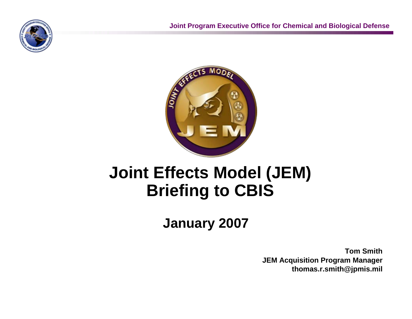



## **Joint Effects Model (JEM) Briefing to CBIS**

**January 2007**

**Tom Smith JEM Acquisition Program Manager thomas.r.smith@jpmis.mil**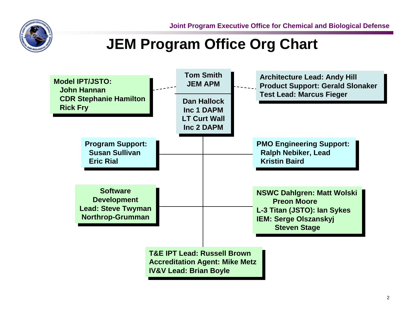

### **JEM Program Office Org Chart**

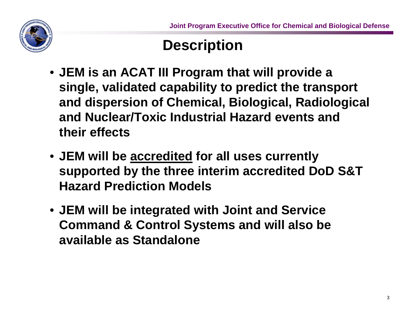## **Description**

- **JEM is an ACAT III Program that will provide a single, validated capability to predict the transport and dispersion of Chemical, Biological, Radiological and Nuclear/Toxic Industrial Hazard events and their effects**
- **JEM will be accredited for all uses currently supported by the three interim accredited DoD S&T Hazard Prediction Models**
- **JEM will be integrated with Joint and Service Command & Control Systems and will also be available as Standalone**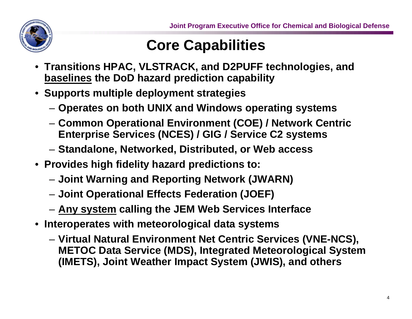

### **Core Capabilities**

- **Transitions HPAC, VLSTRACK, and D2PUFF technologies, and baselines the DoD hazard prediction capability**
- **Supports multiple deployment strategies**
	- **Operates on both UNIX and Windows operating systems**
	- **Common Operational Environment (COE) / Network Centric Enterprise Services (NCES) / GIG / Service C2 systems**
	- **Standalone, Networked, Distributed, or Web access**
- **Provides high fidelity hazard predictions to:**
	- **Joint Warning and Reporting Network (JWARN)**
	- **Joint Operational Effects Federation (JOEF)**
	- **Any system calling the JEM Web Services Interface**
- **Interoperates with meteorological data systems**
	- **Virtual Natural Environment Net Centric Services (VNE-NCS), METOC Data Service (MDS), Integrated Meteorological System (IMETS), Joint Weather Impact System (JWIS), and others**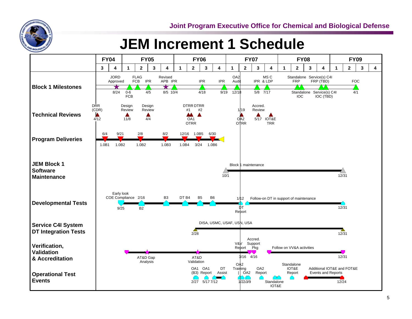

#### **JEM Increment 1 Schedule**

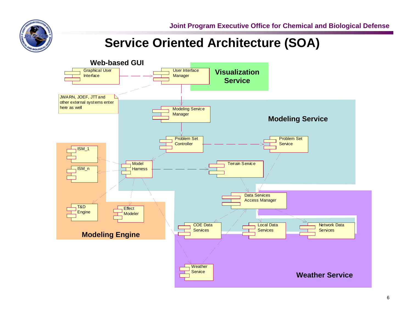

#### **Service Oriented Architecture (SOA)**

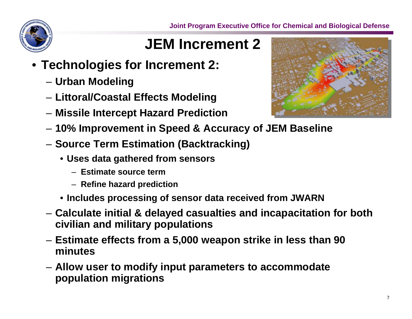

## **JEM Increment 2**

- **Technologies for Increment 2:**
	- **Urban Modeling**
	- **Littoral/Coastal Effects Modeling**
	- **Missile Intercept Hazard Prediction**



- **Source Term Estimation (Backtracking)**
	- **Uses data gathered from sensors**
		- **Estimate source term**
		- **Refine hazard prediction**
	- **Includes processing of sensor data received from JWARN**
- **Calculate initial & delayed casualties and incapacitation for both civilian and military populations**
- **Estimate effects from a 5,000 weapon strike in less than 90 minutes**
- **Allow user to modify input parameters to accommodate population migrations**

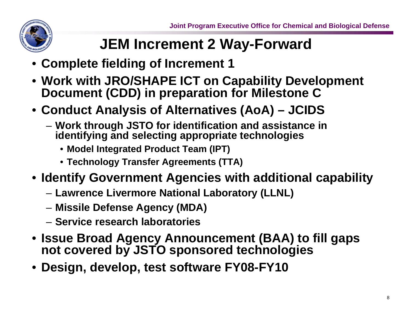

## **JEM Increment 2 Way-Forward**

- **Complete fielding of Increment 1**
- **Work with JRO/SHAPE ICT on Capability Development Document (CDD) in preparation for Milestone C**
- **Conduct Analysis of Alternatives (AoA) JCIDS**
	- **Work through JSTO for identification and assistance in identifying and selecting appropriate technologies**
		- **Model Integrated Product Team (IPT)**
		- **Technology Transfer Agreements (TTA)**
- **Identify Government Agencies with additional capability**
	- **Lawrence Livermore National Laboratory (LLNL)**
	- **Missile Defense Agency (MDA)**
	- **Service research laboratories**
- **Issue Broad Agency Announcement (BAA) to fill gaps not covered by JSTO sponsored technologies**
- **Design, develop, test software FY08-FY10**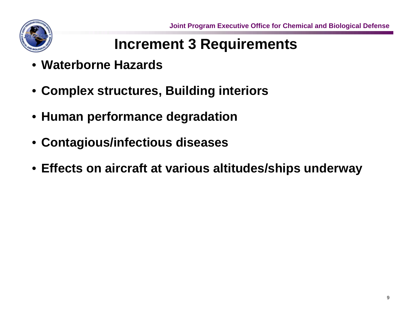

## **Increment 3 Requirements**

- **Waterborne Hazards**
- **Complex structures, Building interiors**
- **Human performance degradation**
- **Contagious/infectious diseases**
- **Effects on aircraft at various altitudes/ships underway**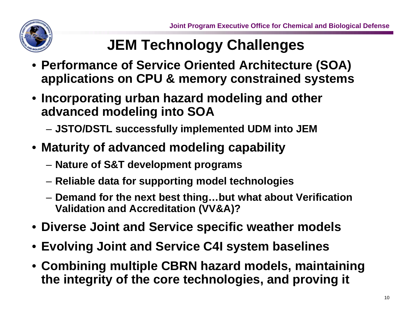

## **JEM Technology Challenges**

- **Performance of Service Oriented Architecture (SOA) applications on CPU & memory constrained systems**
- **Incorporating urban hazard modeling and other advanced modeling into SOA**
	- **JSTO/DSTL successfully implemented UDM into JEM**
- **Maturity of advanced modeling capability**
	- **Nature of S&T development programs**
	- **Reliable data for supporting model technologies**
	- **Demand for the next best thing…but what about Verification Validation and Accreditation (VV&A)?**
- **Diverse Joint and Service specific weather models**
- **Evolving Joint and Service C4I system baselines**
- **Combining multiple CBRN hazard models, maintaining the integrity of the core technologies, and proving it**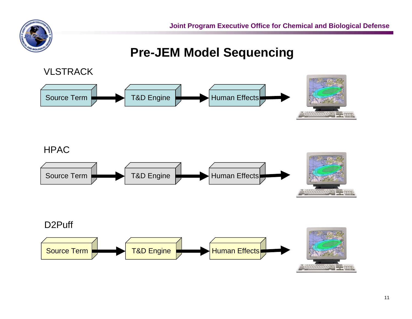

#### **Pre-JEM Model Sequencing**



#### **HPAC**



#### D2PuffT&D Engine Human Effects Source Term**COL**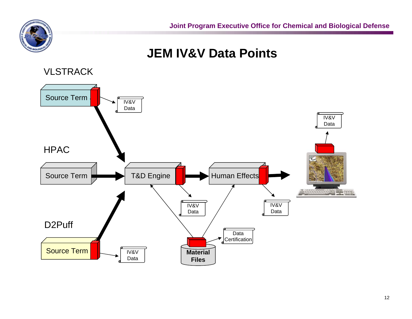

**JEM IV&V Data Points**

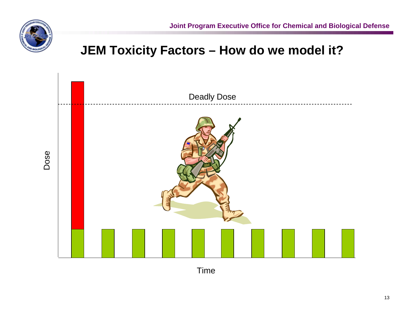

#### **JEM Toxicity Factors – How do we model it?**



Time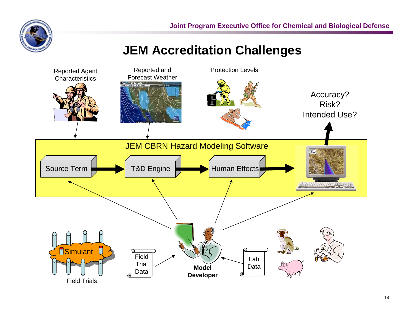

#### **JEM Accreditation Challenges**

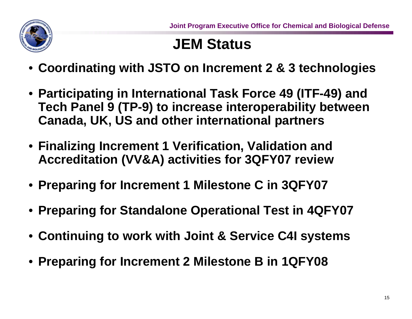

## **JEM Status**

- **Coordinating with JSTO on Increment 2 & 3 technologies**
- **Participating in International Task Force 49 (ITF-49) and Tech Panel 9 (TP-9) to increase interoperability between Canada, UK, US and other international partners**
- **Finalizing Increment 1 Verification, Validation and Accreditation (VV&A) activities for 3QFY07 review**
- **Preparing for Increment 1 Milestone C in 3QFY07**
- **Preparing for Standalone Operational Test in 4QFY07**
- **Continuing to work with Joint & Service C4I systems**
- **Preparing for Increment 2 Milestone B in 1QFY08**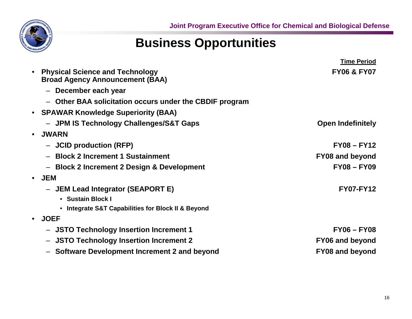

#### **Business Opportunities**

|           |                                                                                  | <b>Time Period</b>       |
|-----------|----------------------------------------------------------------------------------|--------------------------|
| $\bullet$ | <b>Physical Science and Technology</b><br><b>Broad Agency Announcement (BAA)</b> | <b>FY06 &amp; FY07</b>   |
|           | - December each year                                                             |                          |
|           | Other BAA solicitation occurs under the CBDIF program<br>$\qquad \qquad -$       |                          |
| $\bullet$ | <b>SPAWAR Knowledge Superiority (BAA)</b>                                        |                          |
|           | - JPM IS Technology Challenges/S&T Gaps                                          | <b>Open Indefinitely</b> |
| $\bullet$ | <b>JWARN</b>                                                                     |                          |
|           | - JCID production (RFP)                                                          | $FY08 - FY12$            |
|           | <b>Block 2 Increment 1 Sustainment</b>                                           | <b>FY08 and beyond</b>   |
|           | <b>Block 2 Increment 2 Design &amp; Development</b><br>$\qquad \qquad -$         | <b>FY08-FY09</b>         |
|           | $\bullet$ JEM                                                                    |                          |
|           | - JEM Lead Integrator (SEAPORT E)                                                | <b>FY07-FY12</b>         |
|           | • Sustain Block I                                                                |                          |
|           | • Integrate S&T Capabilities for Block II & Beyond                               |                          |
| $\bullet$ | <b>JOEF</b>                                                                      |                          |
|           | - JSTO Technology Insertion Increment 1                                          | <b>FY06-FY08</b>         |
|           | <b>JSTO Technology Insertion Increment 2</b><br>$\qquad \qquad -$                | <b>FY06 and beyond</b>   |
|           | - Software Development Increment 2 and beyond                                    | <b>FY08 and beyond</b>   |